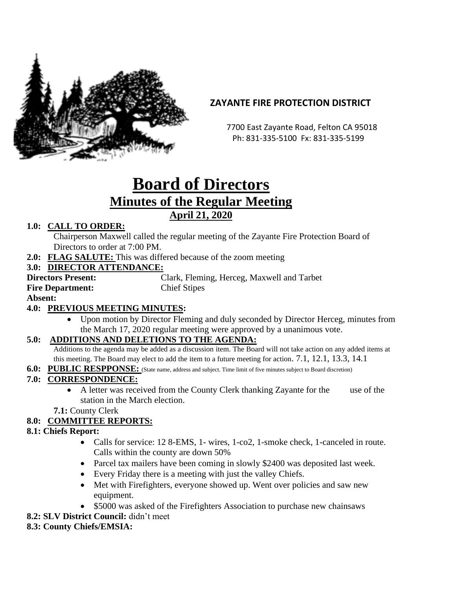

## **ZAYANTE FIRE PROTECTION DISTRICT**

 7700 East Zayante Road, Felton CA 95018 Ph: 831-335-5100 Fx: 831-335-5199

# **Board of Directors Minutes of the Regular Meeting April 21, 2020**

## **1.0: CALL TO ORDER:**

Chairperson Maxwell called the regular meeting of the Zayante Fire Protection Board of Directors to order at 7:00 PM.

**2.0: FLAG SALUTE:** This was differed because of the zoom meeting

#### **3.0: DIRECTOR ATTENDANCE:**

**Fire Department:** Chief Stipes

**Directors Present:** Clark, Fleming, Herceg, Maxwell and Tarbet

**Absent:** 

## **4.0: PREVIOUS MEETING MINUTES:**

• Upon motion by Director Fleming and duly seconded by Director Herceg, minutes from the March 17, 2020 regular meeting were approved by a unanimous vote.

## **5.0: ADDITIONS AND DELETIONS TO THE AGENDA:**

Additions to the agenda may be added as a discussion item. The Board will not take action on any added items at this meeting. The Board may elect to add the item to a future meeting for action. 7.1, 12.1, 13.3, 14.1

**6.0: PUBLIC RESPPONSE:** (State name, address and subject. Time limit of five minutes subject to Board discretion)

## **7.0: CORRESPONDENCE:**

• A letter was received from the County Clerk thanking Zayante for the use of the station in the March election.

**7.1:** County Clerk

## **8.0: COMMITTEE REPORTS:**

#### **8.1: Chiefs Report:**

- Calls for service: 12 8-EMS, 1- wires, 1-co2, 1-smoke check, 1-canceled in route. Calls within the county are down 50%
- Parcel tax mailers have been coming in slowly \$2400 was deposited last week.
- Every Friday there is a meeting with just the valley Chiefs.
- Met with Firefighters, everyone showed up. Went over policies and saw new equipment.
- \$5000 was asked of the Firefighters Association to purchase new chainsaws

**8.2: SLV District Council:** didn't meet

## **8.3: County Chiefs/EMSIA:**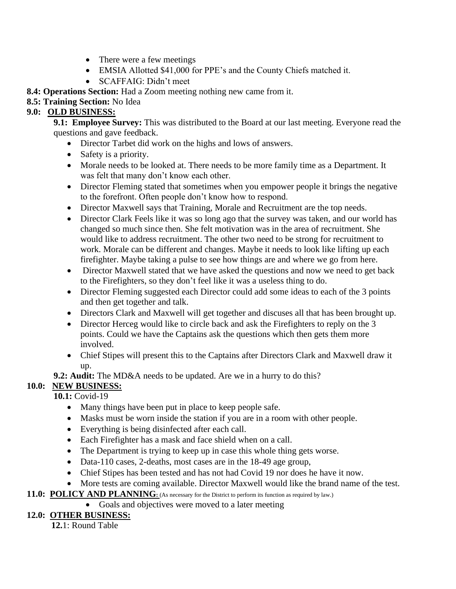- There were a few meetings
- EMSIA Allotted \$41,000 for PPE's and the County Chiefs matched it.
- SCAFFAIG: Didn't meet

**8.4: Operations Section:** Had a Zoom meeting nothing new came from it.

**8.5: Training Section:** No Idea

## **9.0: OLD BUSINESS:**

**9.1: Employee Survey:** This was distributed to the Board at our last meeting. Everyone read the questions and gave feedback.

- Director Tarbet did work on the highs and lows of answers.
- Safety is a priority.
- Morale needs to be looked at. There needs to be more family time as a Department. It was felt that many don't know each other.
- Director Fleming stated that sometimes when you empower people it brings the negative to the forefront. Often people don't know how to respond.
- Director Maxwell says that Training, Morale and Recruitment are the top needs.
- Director Clark Feels like it was so long ago that the survey was taken, and our world has changed so much since then. She felt motivation was in the area of recruitment. She would like to address recruitment. The other two need to be strong for recruitment to work. Morale can be different and changes. Maybe it needs to look like lifting up each firefighter. Maybe taking a pulse to see how things are and where we go from here.
- Director Maxwell stated that we have asked the questions and now we need to get back to the Firefighters, so they don't feel like it was a useless thing to do.
- Director Fleming suggested each Director could add some ideas to each of the 3 points and then get together and talk.
- Directors Clark and Maxwell will get together and discuses all that has been brought up.
- Director Herceg would like to circle back and ask the Firefighters to reply on the 3 points. Could we have the Captains ask the questions which then gets them more involved.
- Chief Stipes will present this to the Captains after Directors Clark and Maxwell draw it up.
- **9.2: Audit:** The MD&A needs to be updated. Are we in a hurry to do this?

## **10.0: NEW BUSINESS:**

**10.1:** Covid-19

- Many things have been put in place to keep people safe.
- Masks must be worn inside the station if you are in a room with other people.
- Everything is being disinfected after each call.
- Each Firefighter has a mask and face shield when on a call.
- The Department is trying to keep up in case this whole thing gets worse.
- Data-110 cases, 2-deaths, most cases are in the 18-49 age group,
- Chief Stipes has been tested and has not had Covid 19 nor does he have it now.
- More tests are coming available. Director Maxwell would like the brand name of the test.

## 11.0: POLICY AND PLANNING: (As necessary for the District to perform its function as required by law.)

• Goals and objectives were moved to a later meeting

## **12.0: OTHER BUSINESS:**

 **12.**1: Round Table